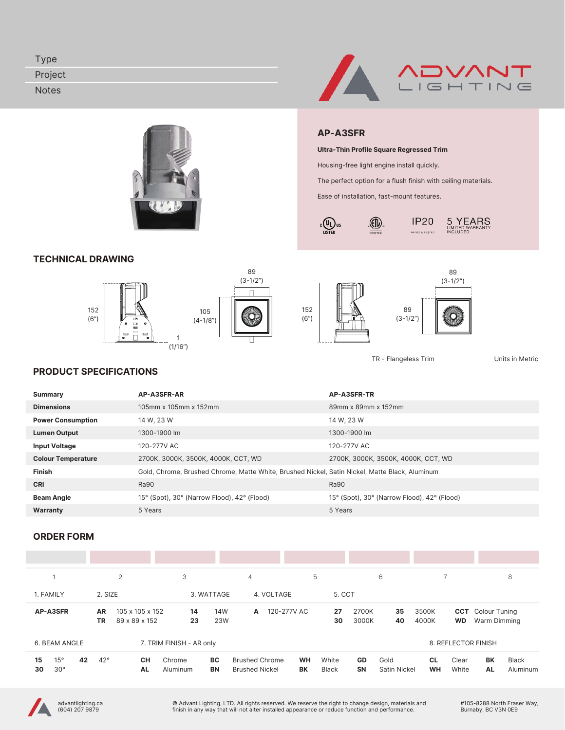| $v_{\rm VDE}$ |               |
|---------------|---------------|
| Project       | <b>ADVANT</b> |
| <b>Notes</b>  | LIGHTING      |



# TECHNICAL DRAWING







 $c \overline{\bigoplus_{\text{LISTED}}}$ us

AP-A3SFR

Ultra-Thin Profile Square Regressed Trim Housing-free light engine install quickly.

Ease of installation, fast-mount features.

 $\langle \widehat{\mathbb{D}} \rangle$ 

Intertek

The perfect option for a flush finish with ceiling materials.

**IP20** 

RATED & TESTED



 $5\underset{\text{IMITED WARRANTY}}{\text{YMITED WARRANTY}}$ 

TR - Flangeless Trim Units in Metric

#### PRODUCT SPECIFICATIONS

| Summary                   | AP-A3SFR-AR                                                                                    | AP-A3SFR-TR                                 |
|---------------------------|------------------------------------------------------------------------------------------------|---------------------------------------------|
| <b>Dimensions</b>         | 105mm x 105mm x 152mm                                                                          | 89mm x 89mm x 152mm                         |
| <b>Power Consumption</b>  | 14 W, 23 W                                                                                     | 14 W, 23 W                                  |
| <b>Lumen Output</b>       | 1300-1900 lm                                                                                   | 1300-1900 lm                                |
| <b>Input Voltage</b>      | 120-277V AC                                                                                    | 120-277V AC                                 |
| <b>Colour Temperature</b> | 2700K, 3000K, 3500K, 4000K, CCT, WD                                                            | 2700K, 3000K, 3500K, 4000K, CCT, WD         |
| Finish                    | Gold, Chrome, Brushed Chrome, Matte White, Brushed Nickel, Satin Nickel, Matte Black, Aluminum |                                             |
| <b>CRI</b>                | <b>Ra90</b>                                                                                    | <b>Ra90</b>                                 |
| <b>Beam Angle</b>         | 15° (Spot), 30° (Narrow Flood), 42° (Flood)                                                    | 15° (Spot), 30° (Narrow Flood), 42° (Flood) |
| Warranty                  | 5 Years                                                                                        | 5 Years                                     |

#### ORDER FORM

|                                       | $\mathfrak{2}$         |                                  | 3                        | 4                                                                        | 5                     | 6                                              | 7                                        | 8                                                  |
|---------------------------------------|------------------------|----------------------------------|--------------------------|--------------------------------------------------------------------------|-----------------------|------------------------------------------------|------------------------------------------|----------------------------------------------------|
| 1. FAMILY                             | 2. SIZE                |                                  | 3. WATTAGE               | 4. VOLTAGE                                                               | 5. CCT                |                                                |                                          |                                                    |
| <b>AP-A3SFR</b>                       | <b>AR</b><br><b>TR</b> | 105 x 105 x 152<br>89 x 89 x 152 | 14W<br>14<br>23<br>23W   | 120-277V AC<br>A                                                         | 27<br>30              | 2700K<br>35<br>3000K<br>40                     | 3500K<br>4000K<br><b>WD</b>              | <b>CCT</b> Colour Tuning<br>Warm Dimming           |
| 6. BEAM ANGLE                         |                        |                                  | 7. TRIM FINISH - AR only |                                                                          |                       |                                                | 8. REFLECTOR FINISH                      |                                                    |
| 15°<br>15<br>42<br>$30^{\circ}$<br>30 | $42^{\circ}$           | <b>CH</b><br>Chrome<br><b>AL</b> | BC.<br>BN<br>Aluminum    | <b>Brushed Chrome</b><br><b>WH</b><br><b>BK</b><br><b>Brushed Nickel</b> | White<br><b>Black</b> | <b>GD</b><br>Gold<br><b>SN</b><br>Satin Nickel | <b>CL</b><br>Clear<br>White<br><b>WH</b> | <b>BK</b><br><b>Black</b><br><b>AL</b><br>Aluminum |

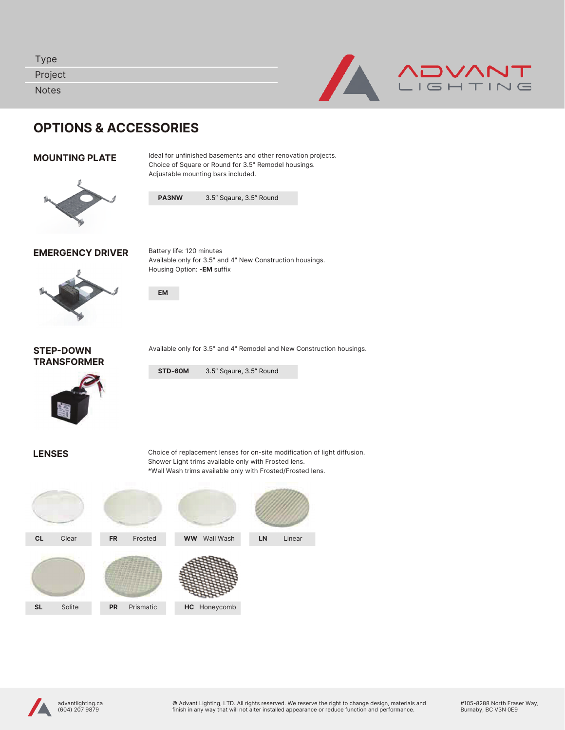| <b>Type</b><br>Project<br><b>Notes</b> |                                  |                                                          |                                                                                                                                                                                                                                                  |  |  |
|----------------------------------------|----------------------------------|----------------------------------------------------------|--------------------------------------------------------------------------------------------------------------------------------------------------------------------------------------------------------------------------------------------------|--|--|
|                                        | <b>OPTIONS &amp; ACCESSORIES</b> |                                                          |                                                                                                                                                                                                                                                  |  |  |
| <b>MOUNTING PLATE</b>                  |                                  |                                                          | Ideal for unfinished basements and other renovation projects.<br>Choice of Square or Round for 3.5" Remodel housings.<br>Adjustable mounting bars included.                                                                                      |  |  |
|                                        |                                  | PA3NW                                                    | 3.5" Sqaure, 3.5" Round                                                                                                                                                                                                                          |  |  |
|                                        | <b>EMERGENCY DRIVER</b>          | Battery life: 120 minutes<br>Housing Option: - EM suffix | Available only for 3.5" and 4" New Construction housings.                                                                                                                                                                                        |  |  |
|                                        |                                  | <b>EM</b>                                                |                                                                                                                                                                                                                                                  |  |  |
| <b>STEP-DOWN</b><br><b>TRANSFORMER</b> |                                  |                                                          | Available only for 3.5" and 4" Remodel and New Construction housings.                                                                                                                                                                            |  |  |
|                                        |                                  | STD-60M                                                  | 3.5" Sqaure, 3.5" Round                                                                                                                                                                                                                          |  |  |
| <b>LENSES</b>                          |                                  |                                                          | Choice of replacement lenses for on-site modification of light diffusion.<br>Shower Light trims available only with Frosted lens.<br>$*MA = 0.31$ and the second state of $A = 0.01$ and $A = 0.01$ and $A = 0.01$ and $A = 0.01$ and $A = 0.01$ |  |  |

\*Wall Wash trims available only with Frosted/Frosted lens.